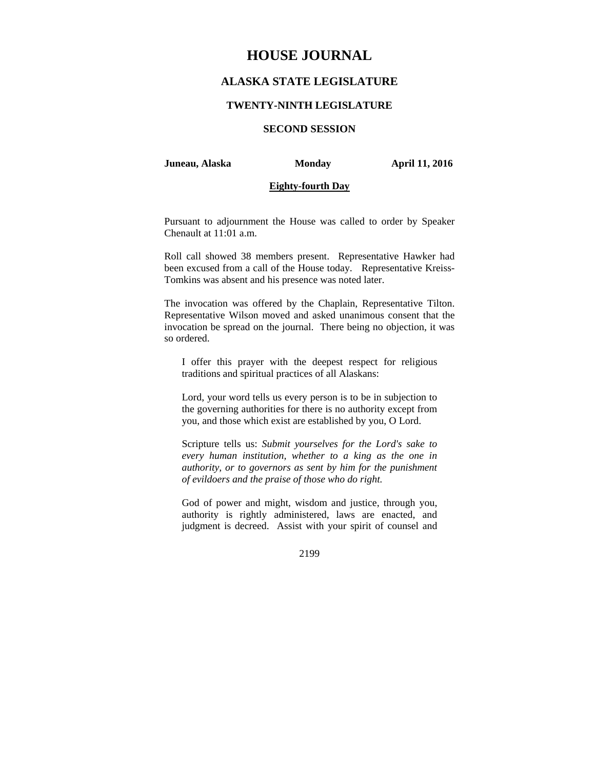# **HOUSE JOURNAL**

# **ALASKA STATE LEGISLATURE**

### **TWENTY-NINTH LEGISLATURE**

## **SECOND SESSION**

#### **Juneau, Alaska Monday April 11, 2016**

### **Eighty-fourth Day**

Pursuant to adjournment the House was called to order by Speaker Chenault at 11:01 a.m.

Roll call showed 38 members present. Representative Hawker had been excused from a call of the House today. Representative Kreiss-Tomkins was absent and his presence was noted later.

The invocation was offered by the Chaplain, Representative Tilton. Representative Wilson moved and asked unanimous consent that the invocation be spread on the journal. There being no objection, it was so ordered.

I offer this prayer with the deepest respect for religious traditions and spiritual practices of all Alaskans:

Lord, your word tells us every person is to be in subjection to the governing authorities for there is no authority except from you, and those which exist are established by you, O Lord.

Scripture tells us: *Submit yourselves for the Lord's sake to every human institution, whether to a king as the one in authority, or to governors as sent by him for the punishment of evildoers and the praise of those who do right.* 

God of power and might, wisdom and justice, through you, authority is rightly administered, laws are enacted, and judgment is decreed. Assist with your spirit of counsel and

2199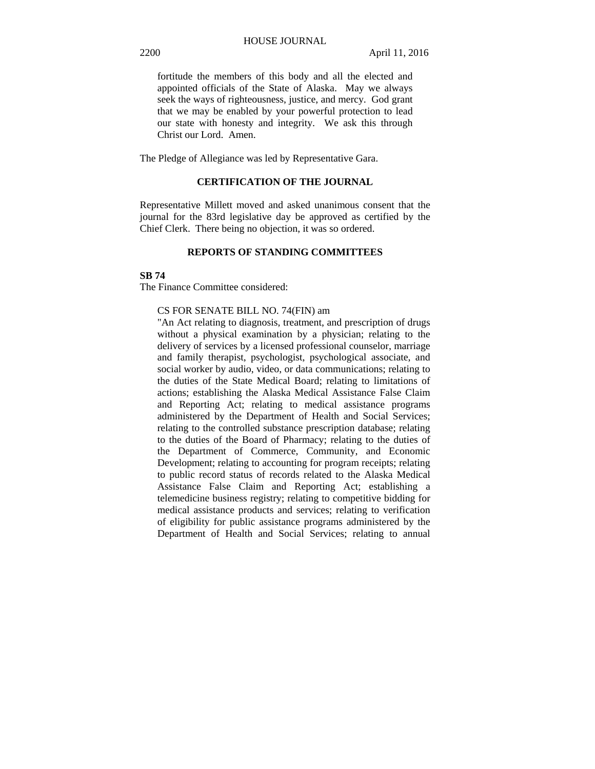fortitude the members of this body and all the elected and appointed officials of the State of Alaska. May we always seek the ways of righteousness, justice, and mercy. God grant that we may be enabled by your powerful protection to lead our state with honesty and integrity. We ask this through Christ our Lord. Amen.

The Pledge of Allegiance was led by Representative Gara.

### **CERTIFICATION OF THE JOURNAL**

Representative Millett moved and asked unanimous consent that the journal for the 83rd legislative day be approved as certified by the Chief Clerk. There being no objection, it was so ordered.

### **REPORTS OF STANDING COMMITTEES**

### **SB 74**

The Finance Committee considered:

### CS FOR SENATE BILL NO. 74(FIN) am

"An Act relating to diagnosis, treatment, and prescription of drugs without a physical examination by a physician; relating to the delivery of services by a licensed professional counselor, marriage and family therapist, psychologist, psychological associate, and social worker by audio, video, or data communications; relating to the duties of the State Medical Board; relating to limitations of actions; establishing the Alaska Medical Assistance False Claim and Reporting Act; relating to medical assistance programs administered by the Department of Health and Social Services; relating to the controlled substance prescription database; relating to the duties of the Board of Pharmacy; relating to the duties of the Department of Commerce, Community, and Economic Development; relating to accounting for program receipts; relating to public record status of records related to the Alaska Medical Assistance False Claim and Reporting Act; establishing a telemedicine business registry; relating to competitive bidding for medical assistance products and services; relating to verification of eligibility for public assistance programs administered by the Department of Health and Social Services; relating to annual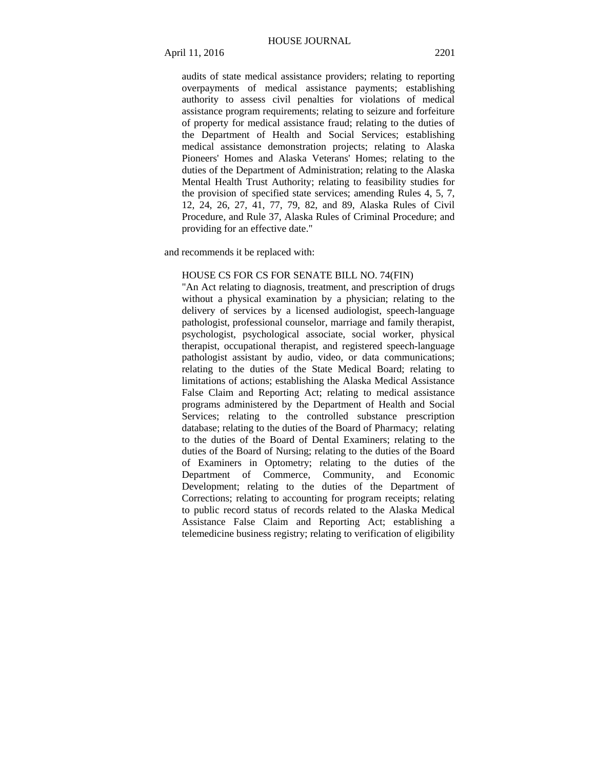audits of state medical assistance providers; relating to reporting overpayments of medical assistance payments; establishing authority to assess civil penalties for violations of medical assistance program requirements; relating to seizure and forfeiture of property for medical assistance fraud; relating to the duties of the Department of Health and Social Services; establishing medical assistance demonstration projects; relating to Alaska Pioneers' Homes and Alaska Veterans' Homes; relating to the duties of the Department of Administration; relating to the Alaska Mental Health Trust Authority; relating to feasibility studies for the provision of specified state services; amending Rules 4, 5, 7, 12, 24, 26, 27, 41, 77, 79, 82, and 89, Alaska Rules of Civil Procedure, and Rule 37, Alaska Rules of Criminal Procedure; and providing for an effective date."

and recommends it be replaced with:

#### HOUSE CS FOR CS FOR SENATE BILL NO. 74(FIN)

"An Act relating to diagnosis, treatment, and prescription of drugs without a physical examination by a physician; relating to the delivery of services by a licensed audiologist, speech-language pathologist, professional counselor, marriage and family therapist, psychologist, psychological associate, social worker, physical therapist, occupational therapist, and registered speech-language pathologist assistant by audio, video, or data communications; relating to the duties of the State Medical Board; relating to limitations of actions; establishing the Alaska Medical Assistance False Claim and Reporting Act; relating to medical assistance programs administered by the Department of Health and Social Services; relating to the controlled substance prescription database; relating to the duties of the Board of Pharmacy; relating to the duties of the Board of Dental Examiners; relating to the duties of the Board of Nursing; relating to the duties of the Board of Examiners in Optometry; relating to the duties of the Department of Commerce, Community, and Economic Development; relating to the duties of the Department of Corrections; relating to accounting for program receipts; relating to public record status of records related to the Alaska Medical Assistance False Claim and Reporting Act; establishing a telemedicine business registry; relating to verification of eligibility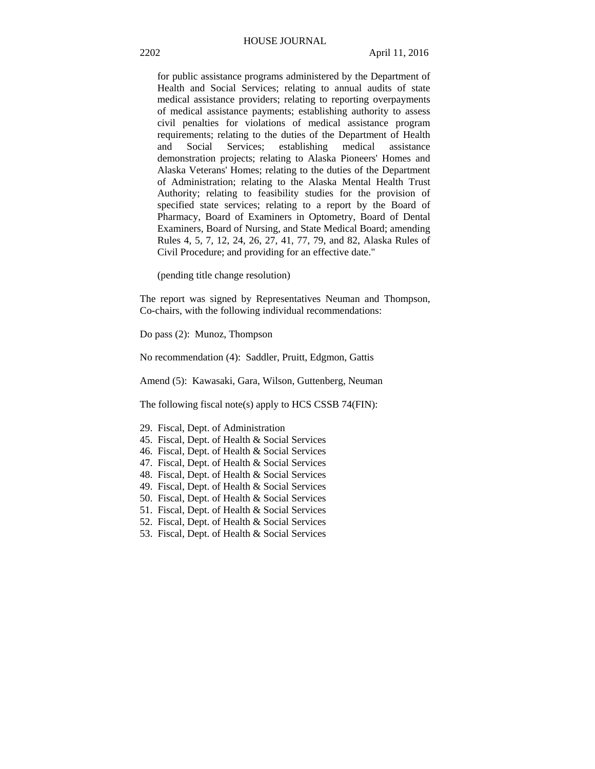for public assistance programs administered by the Department of Health and Social Services; relating to annual audits of state medical assistance providers; relating to reporting overpayments of medical assistance payments; establishing authority to assess civil penalties for violations of medical assistance program requirements; relating to the duties of the Department of Health and Social Services; establishing medical assistance demonstration projects; relating to Alaska Pioneers' Homes and Alaska Veterans' Homes; relating to the duties of the Department of Administration; relating to the Alaska Mental Health Trust Authority; relating to feasibility studies for the provision of specified state services; relating to a report by the Board of Pharmacy, Board of Examiners in Optometry, Board of Dental Examiners, Board of Nursing, and State Medical Board; amending Rules 4, 5, 7, 12, 24, 26, 27, 41, 77, 79, and 82, Alaska Rules of Civil Procedure; and providing for an effective date."

(pending title change resolution)

The report was signed by Representatives Neuman and Thompson, Co-chairs, with the following individual recommendations:

Do pass (2): Munoz, Thompson

No recommendation (4): Saddler, Pruitt, Edgmon, Gattis

Amend (5): Kawasaki, Gara, Wilson, Guttenberg, Neuman

The following fiscal note(s) apply to HCS CSSB 74(FIN):

- 29. Fiscal, Dept. of Administration
- 45. Fiscal, Dept. of Health & Social Services
- 46. Fiscal, Dept. of Health & Social Services
- 47. Fiscal, Dept. of Health & Social Services
- 48. Fiscal, Dept. of Health & Social Services
- 49. Fiscal, Dept. of Health & Social Services
- 50. Fiscal, Dept. of Health & Social Services
- 51. Fiscal, Dept. of Health & Social Services
- 52. Fiscal, Dept. of Health & Social Services
- 53. Fiscal, Dept. of Health & Social Services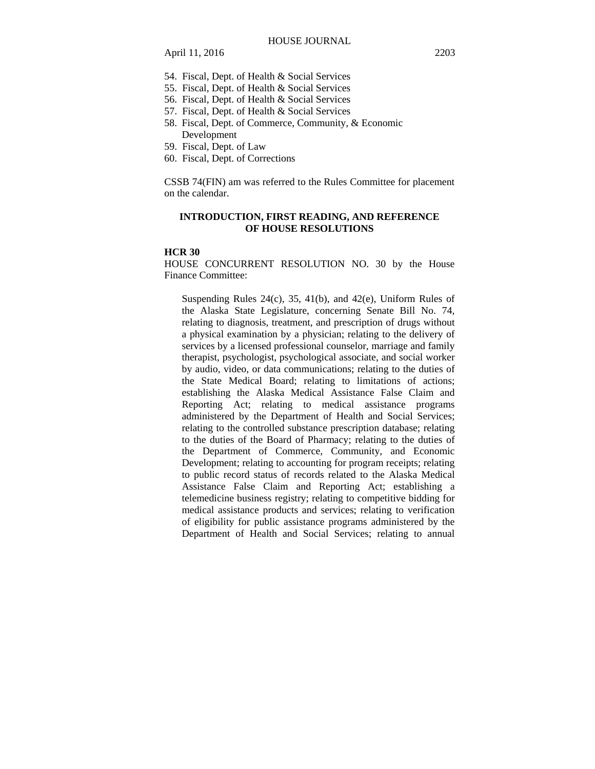- 54. Fiscal, Dept. of Health & Social Services
- 55. Fiscal, Dept. of Health & Social Services
- 56. Fiscal, Dept. of Health & Social Services
- 57. Fiscal, Dept. of Health & Social Services
- 58. Fiscal, Dept. of Commerce, Community, & Economic Development
- 59. Fiscal, Dept. of Law
- 60. Fiscal, Dept. of Corrections

CSSB 74(FIN) am was referred to the Rules Committee for placement on the calendar.

### **INTRODUCTION, FIRST READING, AND REFERENCE OF HOUSE RESOLUTIONS**

#### **HCR 30**

HOUSE CONCURRENT RESOLUTION NO. 30 by the House Finance Committee:

Suspending Rules 24(c), 35, 41(b), and 42(e), Uniform Rules of the Alaska State Legislature, concerning Senate Bill No. 74, relating to diagnosis, treatment, and prescription of drugs without a physical examination by a physician; relating to the delivery of services by a licensed professional counselor, marriage and family therapist, psychologist, psychological associate, and social worker by audio, video, or data communications; relating to the duties of the State Medical Board; relating to limitations of actions; establishing the Alaska Medical Assistance False Claim and Reporting Act; relating to medical assistance programs administered by the Department of Health and Social Services; relating to the controlled substance prescription database; relating to the duties of the Board of Pharmacy; relating to the duties of the Department of Commerce, Community, and Economic Development; relating to accounting for program receipts; relating to public record status of records related to the Alaska Medical Assistance False Claim and Reporting Act; establishing a telemedicine business registry; relating to competitive bidding for medical assistance products and services; relating to verification of eligibility for public assistance programs administered by the Department of Health and Social Services; relating to annual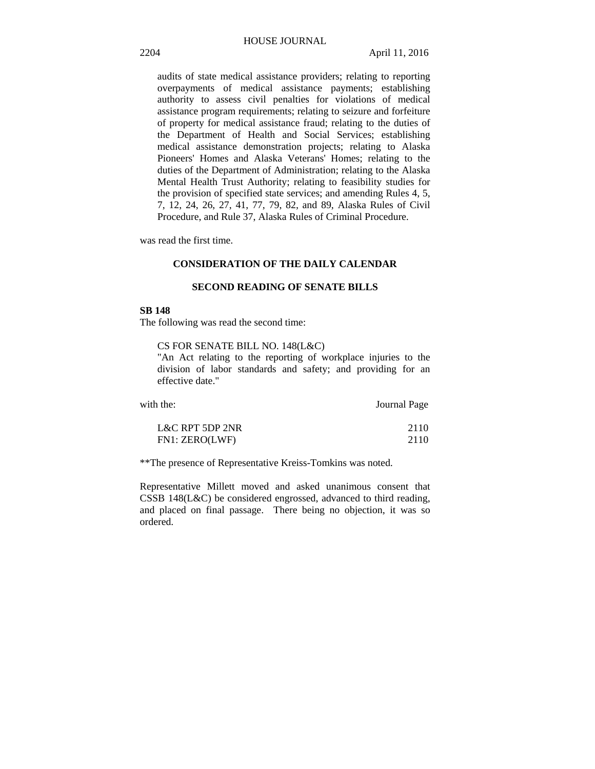audits of state medical assistance providers; relating to reporting overpayments of medical assistance payments; establishing authority to assess civil penalties for violations of medical assistance program requirements; relating to seizure and forfeiture of property for medical assistance fraud; relating to the duties of the Department of Health and Social Services; establishing medical assistance demonstration projects; relating to Alaska Pioneers' Homes and Alaska Veterans' Homes; relating to the duties of the Department of Administration; relating to the Alaska Mental Health Trust Authority; relating to feasibility studies for the provision of specified state services; and amending Rules 4, 5, 7, 12, 24, 26, 27, 41, 77, 79, 82, and 89, Alaska Rules of Civil Procedure, and Rule 37, Alaska Rules of Criminal Procedure.

was read the first time.

### **CONSIDERATION OF THE DAILY CALENDAR**

### **SECOND READING OF SENATE BILLS**

#### **SB 148**

The following was read the second time:

#### CS FOR SENATE BILL NO. 148(L&C)

"An Act relating to the reporting of workplace injuries to the division of labor standards and safety; and providing for an effective date."

| with the:       | Journal Page |
|-----------------|--------------|
| L&C RPT 5DP 2NR | 2110         |
| FN1: ZERO(LWF)  | 2110         |

\*\*The presence of Representative Kreiss-Tomkins was noted.

Representative Millett moved and asked unanimous consent that CSSB 148(L&C) be considered engrossed, advanced to third reading, and placed on final passage. There being no objection, it was so ordered.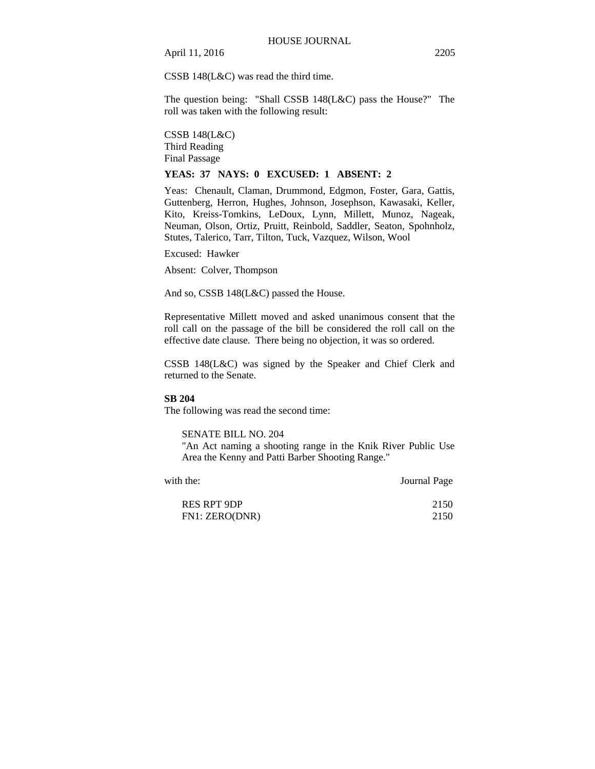April 11, 2016 2205

CSSB 148(L&C) was read the third time.

The question being: "Shall CSSB 148(L&C) pass the House?" The roll was taken with the following result:

CSSB 148(L&C) Third Reading Final Passage

### **YEAS: 37 NAYS: 0 EXCUSED: 1 ABSENT: 2**

Yeas: Chenault, Claman, Drummond, Edgmon, Foster, Gara, Gattis, Guttenberg, Herron, Hughes, Johnson, Josephson, Kawasaki, Keller, Kito, Kreiss-Tomkins, LeDoux, Lynn, Millett, Munoz, Nageak, Neuman, Olson, Ortiz, Pruitt, Reinbold, Saddler, Seaton, Spohnholz, Stutes, Talerico, Tarr, Tilton, Tuck, Vazquez, Wilson, Wool

Excused: Hawker

Absent: Colver, Thompson

And so, CSSB 148(L&C) passed the House.

Representative Millett moved and asked unanimous consent that the roll call on the passage of the bill be considered the roll call on the effective date clause. There being no objection, it was so ordered.

CSSB 148(L&C) was signed by the Speaker and Chief Clerk and returned to the Senate.

#### **SB 204**

The following was read the second time:

SENATE BILL NO. 204

"An Act naming a shooting range in the Knik River Public Use Area the Kenny and Patti Barber Shooting Range."

| with the:          | Journal Page |
|--------------------|--------------|
| <b>RES RPT 9DP</b> | 2150         |
| FN1: ZERO(DNR)     | 2150         |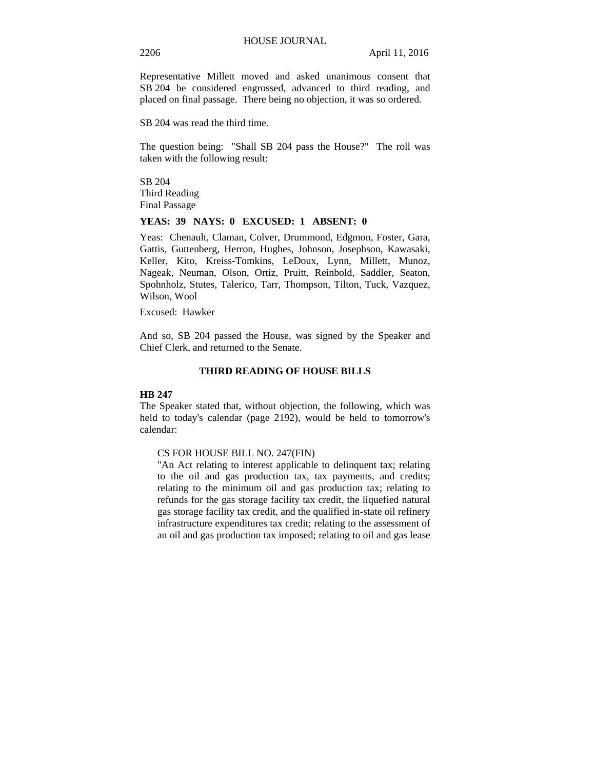Representative Millett moved and asked unanimous consent that SB 204 be considered engrossed, advanced to third reading, and placed on final passage. There being no objection, it was so ordered.

SB 204 was read the third time.

The question being: "Shall SB 204 pass the House?" The roll was taken with the following result:

SB 204 Third Reading Final Passage

### **YEAS: 39 NAYS: 0 EXCUSED: 1 ABSENT: 0**

Yeas: Chenault, Claman, Colver, Drummond, Edgmon, Foster, Gara, Gattis, Guttenberg, Herron, Hughes, Johnson, Josephson, Kawasaki, Keller, Kito, Kreiss-Tomkins, LeDoux, Lynn, Millett, Munoz, Nageak, Neuman, Olson, Ortiz, Pruitt, Reinbold, Saddler, Seaton, Spohnholz, Stutes, Talerico, Tarr, Thompson, Tilton, Tuck, Vazquez, Wilson, Wool

Excused: Hawker

And so, SB 204 passed the House, was signed by the Speaker and Chief Clerk, and returned to the Senate.

#### **THIRD READING OF HOUSE BILLS**

#### **HB 247**

The Speaker stated that, without objection, the following, which was held to today's calendar (page 2192), would be held to tomorrow's calendar:

### CS FOR HOUSE BILL NO. 247(FIN)

"An Act relating to interest applicable to delinquent tax; relating to the oil and gas production tax, tax payments, and credits; relating to the minimum oil and gas production tax; relating to refunds for the gas storage facility tax credit, the liquefied natural gas storage facility tax credit, and the qualified in-state oil refinery infrastructure expenditures tax credit; relating to the assessment of an oil and gas production tax imposed; relating to oil and gas lease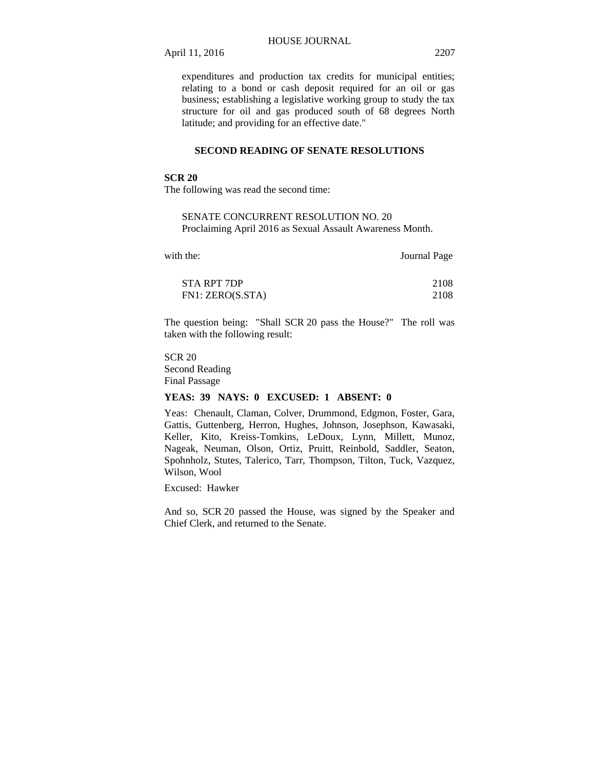April 11, 2016 2207

expenditures and production tax credits for municipal entities; relating to a bond or cash deposit required for an oil or gas business; establishing a legislative working group to study the tax structure for oil and gas produced south of 68 degrees North latitude; and providing for an effective date."

### **SECOND READING OF SENATE RESOLUTIONS**

### **SCR 20**

The following was read the second time:

SENATE CONCURRENT RESOLUTION NO. 20 Proclaiming April 2016 as Sexual Assault Awareness Month.

| with the:        | Journal Page |
|------------------|--------------|
| STA RPT 7DP      | 2108         |
| FN1: ZERO(S.STA) | 2108         |

The question being: "Shall SCR 20 pass the House?" The roll was taken with the following result:

SCR 20 Second Reading Final Passage

#### **YEAS: 39 NAYS: 0 EXCUSED: 1 ABSENT: 0**

Yeas: Chenault, Claman, Colver, Drummond, Edgmon, Foster, Gara, Gattis, Guttenberg, Herron, Hughes, Johnson, Josephson, Kawasaki, Keller, Kito, Kreiss-Tomkins, LeDoux, Lynn, Millett, Munoz, Nageak, Neuman, Olson, Ortiz, Pruitt, Reinbold, Saddler, Seaton, Spohnholz, Stutes, Talerico, Tarr, Thompson, Tilton, Tuck, Vazquez, Wilson, Wool

Excused: Hawker

And so, SCR 20 passed the House, was signed by the Speaker and Chief Clerk, and returned to the Senate.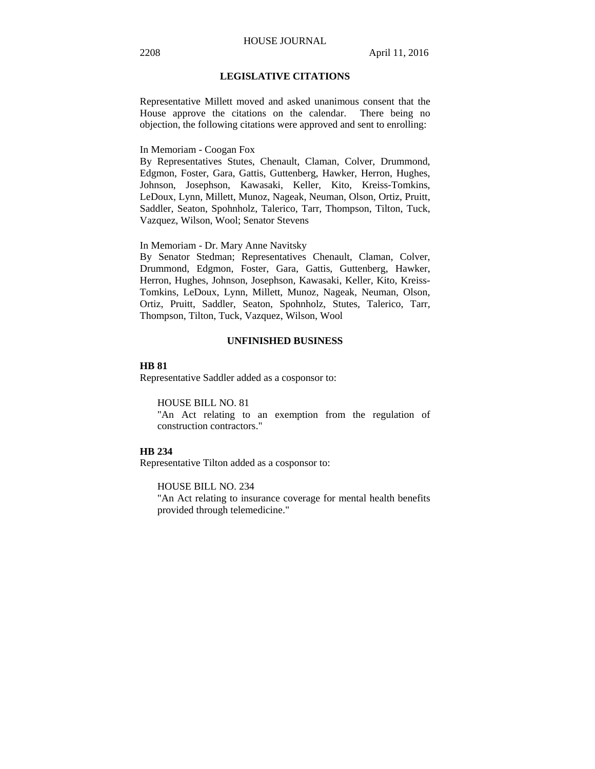### **LEGISLATIVE CITATIONS**

Representative Millett moved and asked unanimous consent that the House approve the citations on the calendar. There being no objection, the following citations were approved and sent to enrolling:

In Memoriam - Coogan Fox

By Representatives Stutes, Chenault, Claman, Colver, Drummond, Edgmon, Foster, Gara, Gattis, Guttenberg, Hawker, Herron, Hughes, Johnson, Josephson, Kawasaki, Keller, Kito, Kreiss-Tomkins, LeDoux, Lynn, Millett, Munoz, Nageak, Neuman, Olson, Ortiz, Pruitt, Saddler, Seaton, Spohnholz, Talerico, Tarr, Thompson, Tilton, Tuck, Vazquez, Wilson, Wool; Senator Stevens

In Memoriam - Dr. Mary Anne Navitsky

By Senator Stedman; Representatives Chenault, Claman, Colver, Drummond, Edgmon, Foster, Gara, Gattis, Guttenberg, Hawker, Herron, Hughes, Johnson, Josephson, Kawasaki, Keller, Kito, Kreiss-Tomkins, LeDoux, Lynn, Millett, Munoz, Nageak, Neuman, Olson, Ortiz, Pruitt, Saddler, Seaton, Spohnholz, Stutes, Talerico, Tarr, Thompson, Tilton, Tuck, Vazquez, Wilson, Wool

#### **UNFINISHED BUSINESS**

#### **HB 81**

Representative Saddler added as a cosponsor to:

HOUSE BILL NO. 81

"An Act relating to an exemption from the regulation of construction contractors."

### **HB 234**

Representative Tilton added as a cosponsor to:

HOUSE BILL NO. 234 "An Act relating to insurance coverage for mental health benefits provided through telemedicine."